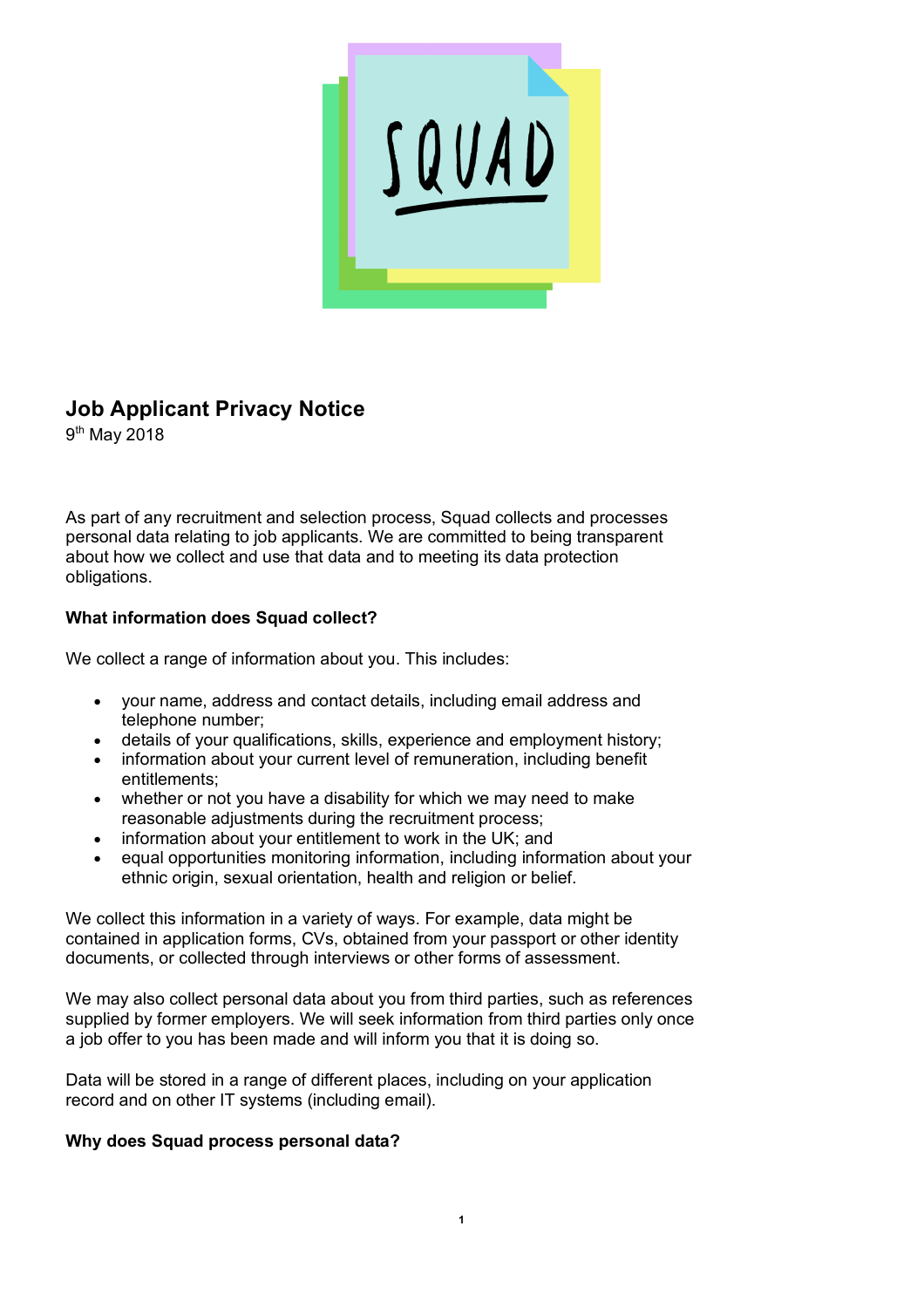

# **Job Applicant Privacy Notice**

9<sup>th</sup> May 2018

As part of any recruitment and selection process, Squad collects and processes personal data relating to job applicants. We are committed to being transparent about how we collect and use that data and to meeting its data protection obligations.

## **What information does Squad collect?**

We collect a range of information about you. This includes:

- your name, address and contact details, including email address and telephone number;
- details of your qualifications, skills, experience and employment history;
- information about your current level of remuneration, including benefit entitlements;
- whether or not you have a disability for which we may need to make reasonable adjustments during the recruitment process;
- information about your entitlement to work in the UK; and
- equal opportunities monitoring information, including information about your ethnic origin, sexual orientation, health and religion or belief.

We collect this information in a variety of ways. For example, data might be contained in application forms, CVs, obtained from your passport or other identity documents, or collected through interviews or other forms of assessment.

We may also collect personal data about you from third parties, such as references supplied by former employers. We will seek information from third parties only once a job offer to you has been made and will inform you that it is doing so.

Data will be stored in a range of different places, including on your application record and on other IT systems (including email).

## **Why does Squad process personal data?**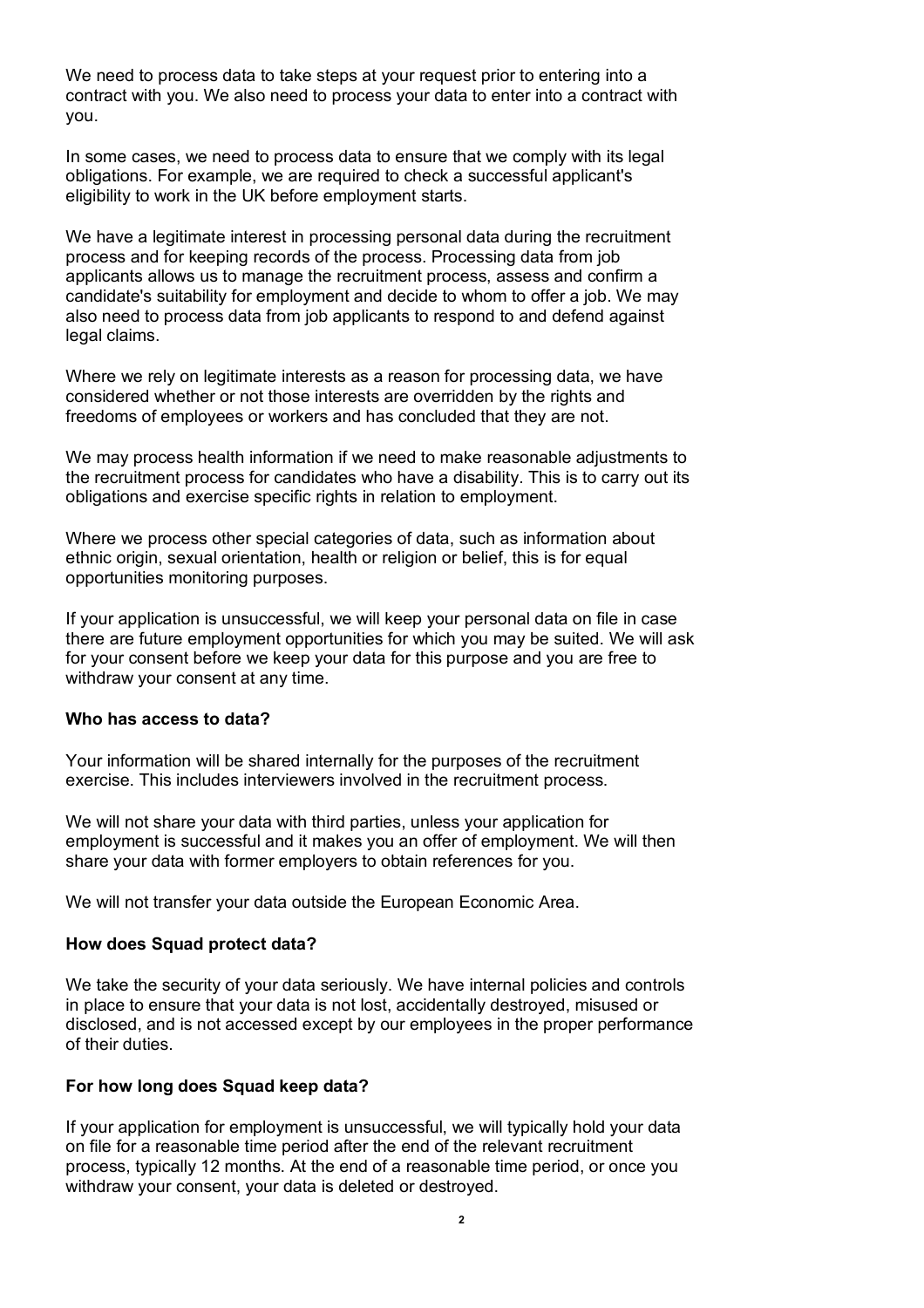We need to process data to take steps at your request prior to entering into a contract with you. We also need to process your data to enter into a contract with you.

In some cases, we need to process data to ensure that we comply with its legal obligations. For example, we are required to check a successful applicant's eligibility to work in the UK before employment starts.

We have a legitimate interest in processing personal data during the recruitment process and for keeping records of the process. Processing data from job applicants allows us to manage the recruitment process, assess and confirm a candidate's suitability for employment and decide to whom to offer a job. We may also need to process data from job applicants to respond to and defend against legal claims.

Where we rely on legitimate interests as a reason for processing data, we have considered whether or not those interests are overridden by the rights and freedoms of employees or workers and has concluded that they are not.

We may process health information if we need to make reasonable adjustments to the recruitment process for candidates who have a disability. This is to carry out its obligations and exercise specific rights in relation to employment.

Where we process other special categories of data, such as information about ethnic origin, sexual orientation, health or religion or belief, this is for equal opportunities monitoring purposes.

If your application is unsuccessful, we will keep your personal data on file in case there are future employment opportunities for which you may be suited. We will ask for your consent before we keep your data for this purpose and you are free to withdraw your consent at any time.

#### **Who has access to data?**

Your information will be shared internally for the purposes of the recruitment exercise. This includes interviewers involved in the recruitment process.

We will not share your data with third parties, unless your application for employment is successful and it makes you an offer of employment. We will then share your data with former employers to obtain references for you.

We will not transfer your data outside the European Economic Area.

### **How does Squad protect data?**

We take the security of your data seriously. We have internal policies and controls in place to ensure that your data is not lost, accidentally destroyed, misused or disclosed, and is not accessed except by our employees in the proper performance of their duties.

### **For how long does Squad keep data?**

If your application for employment is unsuccessful, we will typically hold your data on file for a reasonable time period after the end of the relevant recruitment process, typically 12 months. At the end of a reasonable time period, or once you withdraw your consent, your data is deleted or destroyed.